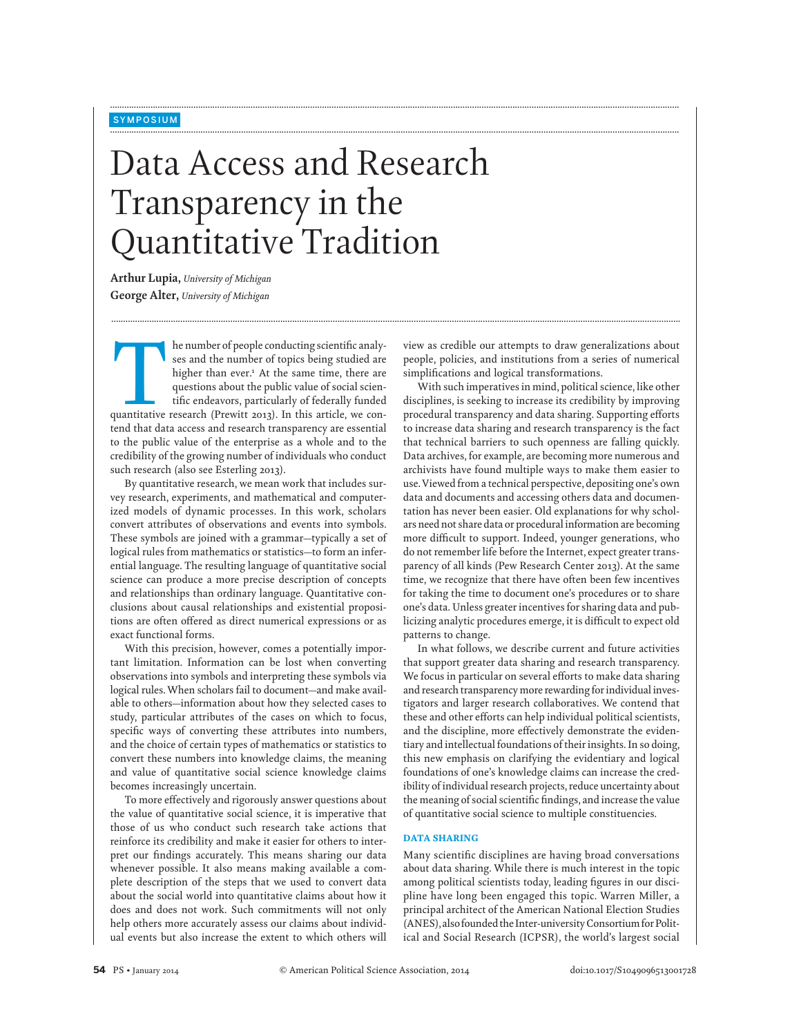### SYMPOSIUM

# Data Access and Research Transparency in the uantitative Tradition

**...............................................................................................................................................................................................................................................**

**...............................................................................................................................................................................................................................................**

**...............................................................................................................................................................................................................................................**

**Arthur Lupia,** *University of Michigan* **George Alter,** *University of Michigan*

The number of people conducting scientific analy-<br>
ses and the number of topics being studied are<br>
higher than ever.<sup>1</sup> At the same time, there are<br>
questions about the public value of social scien-<br>
tific endeavors, parti ses and the number of topics being studied are higher than ever.<sup>1</sup> At the same time, there are questions about the public value of social scientific endeavors, particularly of federally funded tend that data access and research transparency are essential to the public value of the enterprise as a whole and to the credibility of the growing number of individuals who conduct such research (also see Esterling 2013).

By quantitative research, we mean work that includes survey research, experiments, and mathematical and computerized models of dynamic processes. In this work, scholars convert attributes of observations and events into symbols. These symbols are joined with a grammar—typically a set of logical rules from mathematics or statistics—to form an inferential language. The resulting language of quantitative social science can produce a more precise description of concepts and relationships than ordinary language. Quantitative conclusions about causal relationships and existential propositions are often offered as direct numerical expressions or as exact functional forms.

With this precision, however, comes a potentially important limitation. Information can be lost when converting observations into symbols and interpreting these symbols via logical rules.When scholars fail to document—and make available to others—information about how they selected cases to study, particular attributes of the cases on which to focus, specific ways of converting these attributes into numbers, and the choice of certain types of mathematics or statistics to convert these numbers into knowledge claims, the meaning and value of quantitative social science knowledge claims becomes increasingly uncertain.

To more effectively and rigorously answer questions about the value of quantitative social science, it is imperative that those of us who conduct such research take actions that reinforce its credibility and make it easier for others to interpret our findings accurately. This means sharing our data whenever possible. It also means making available a complete description of the steps that we used to convert data about the social world into quantitative claims about how it does and does not work. Such commitments will not only help others more accurately assess our claims about individual events but also increase the extent to which others will

view as credible our attempts to draw generalizations about people, policies, and institutions from a series of numerical simplifications and logical transformations.

With such imperatives in mind, political science, like other disciplines, is seeking to increase its credibility by improving procedural transparency and data sharing. Supporting efforts to increase data sharing and research transparency is the fact that technical barriers to such openness are falling quickly. Data archives, for example, are becoming more numerous and archivists have found multiple ways to make them easier to use.Viewed from a technical perspective, depositing one's own data and documents and accessing others data and documentation has never been easier. Old explanations for why scholars need not share data or procedural information are becoming more difficult to support. Indeed, younger generations, who do not remember life before the Internet, expect greater transparency of all kinds (Pew Research Center 2013). At the same time, we recognize that there have often been few incentives for taking the time to document one's procedures or to share one's data. Unless greater incentives for sharing data and publicizing analytic procedures emerge, it is difficult to expect old patterns to change.

In what follows, we describe current and future activities that support greater data sharing and research transparency. We focus in particular on several efforts to make data sharing and research transparency more rewarding for individual investigators and larger research collaboratives. We contend that these and other efforts can help individual political scientists, and the discipline, more effectively demonstrate the evidentiary and intellectual foundations of their insights. In so doing, this new emphasis on clarifying the evidentiary and logical foundations of one's knowledge claims can increase the credibility of individual research projects, reduce uncertainty about the meaning of social scientific findings, and increase the value of quantitative social science to multiple constituencies.

## DATA SHARING

Many scientific disciplines are having broad conversations about data sharing. While there is much interest in the topic among political scientists today, leading figures in our discipline have long been engaged this topic. Warren Miller, a principal architect of the American National Election Studies (ANES), also founded the Inter-university Consortium for Political and Social Research (ICPSR), the world's largest social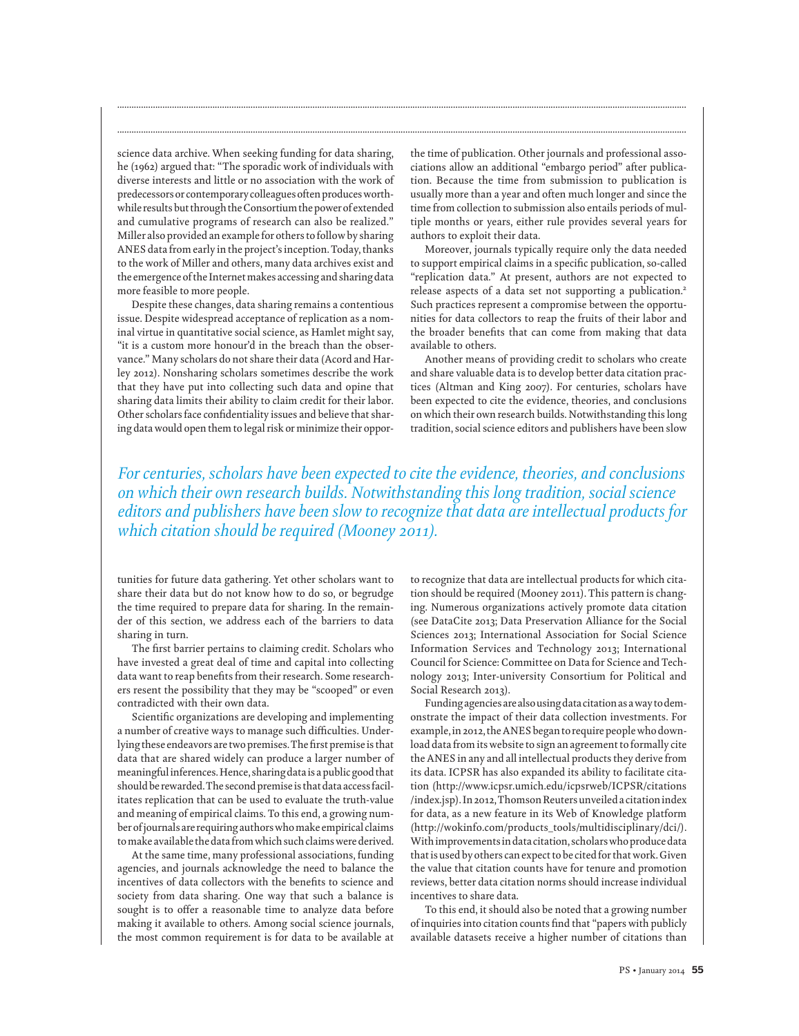science data archive. When seeking funding for data sharing, he (1962) argued that: "The sporadic work of individuals with diverse interests and little or no association with the work of predecessors or contemporary colleagues often produces worthwhile results but through the Consortium the power of extended and cumulative programs of research can also be realized." Miller also provided an example for others to follow by sharing ANES data from early in the project's inception.Today, thanks to the work of Miller and others, many data archives exist and the emergence of the Internet makes accessing and sharing data more feasible to more people.

Despite these changes, data sharing remains a contentious issue. Despite widespread acceptance of replication as a nominal virtue in quantitative social science, as Hamlet might say, "it is a custom more honour'd in the breach than the observance." Many scholars do not share their data (Acord and Harley 2012). Nonsharing scholars sometimes describe the work that they have put into collecting such data and opine that sharing data limits their ability to claim credit for their labor. Other scholars face confidentiality issues and believe that sharing data would open them to legal risk or minimize their oppor-

the time of publication. Other journals and professional associations allow an additional "embargo period" after publication. Because the time from submission to publication is usually more than a year and often much longer and since the time from collection to submission also entails periods of multiple months or years, either rule provides several years for authors to exploit their data.

Moreover, journals typically require only the data needed to support empirical claims in a specific publication, so-called "replication data." At present, authors are not expected to release aspects of a data set not supporting a publication.<sup>2</sup> Such practices represent a compromise between the opportunities for data collectors to reap the fruits of their labor and the broader benefits that can come from making that data available to others.

Another means of providing credit to scholars who create and share valuable data is to develop better data citation practices (Altman and King 2007). For centuries, scholars have been expected to cite the evidence, theories, and conclusions on which their own research builds. Notwithstanding this long tradition, social science editors and publishers have been slow

*For centuries, scholars have been expected to cite the evidence, theories, and conclusions on which their own research builds. Notwithstanding this long tradition, social science editors and publishers have been slow to recognize that data are intellectual products for which citation should be required (Mooney 2011).*

**...............................................................................................................................................................................................................................................**

**...............................................................................................................................................................................................................................................**

tunities for future data gathering. Yet other scholars want to share their data but do not know how to do so, or begrudge the time required to prepare data for sharing. In the remainder of this section, we address each of the barriers to data sharing in turn.

The first barrier pertains to claiming credit. Scholars who have invested a great deal of time and capital into collecting data want to reap benefits from their research. Some researchers resent the possibility that they may be "scooped" or even contradicted with their own data.

Scientific organizations are developing and implementing a number of creative ways to manage such difficulties. Underlying these endeavors are two premises. The first premise is that data that are shared widely can produce a larger number of meaningful inferences. Hence, sharing data is a public good that should be rewarded. The second premise is that data access facilitates replication that can be used to evaluate the truth-value and meaning of empirical claims. To this end, a growing number ofjournalsare requiringauthorswhomake empirical claims tomake available the data fromwhich such claimswere derived.

At the same time, many professional associations, funding agencies, and journals acknowledge the need to balance the incentives of data collectors with the benefits to science and society from data sharing. One way that such a balance is sought is to offer a reasonable time to analyze data before making it available to others. Among social science journals, the most common requirement is for data to be available at to recognize that data are intellectual products for which citation should be required (Mooney 2011). This pattern is changing. Numerous organizations actively promote data citation (see DataCite 2013; Data Preservation Alliance for the Social Sciences 2013; International Association for Social Science Information Services and Technology 2013; International Council for Science: Committee on Data for Science and Technology 2013; Inter-university Consortium for Political and Social Research 2013).

Fundingagenciesarealsousingdatacitationasaway todemonstrate the impact of their data collection investments. For example,in 2012, theANES began to require peoplewho download data from its website to sign an agreement to formally cite the ANES in any and all intellectual products they derive from its data. ICPSR has also expanded its ability to facilitate citation (http://www.icpsr.umich.edu/icpsrweb/ICPSR/citations /index.jsp). In 2012,ThomsonReuters unveileda citationindex for data, as a new feature in its Web of Knowledge platform (http://wokinfo.com/products\_tools/multidisciplinary/dci/). With improvements in data citation, scholars who produce data thatis used by others can expect to be cited for that work. Given the value that citation counts have for tenure and promotion reviews, better data citation norms should increase individual incentives to share data.

To this end, it should also be noted that a growing number of inquiries into citation counts find that "papers with publicly available datasets receive a higher number of citations than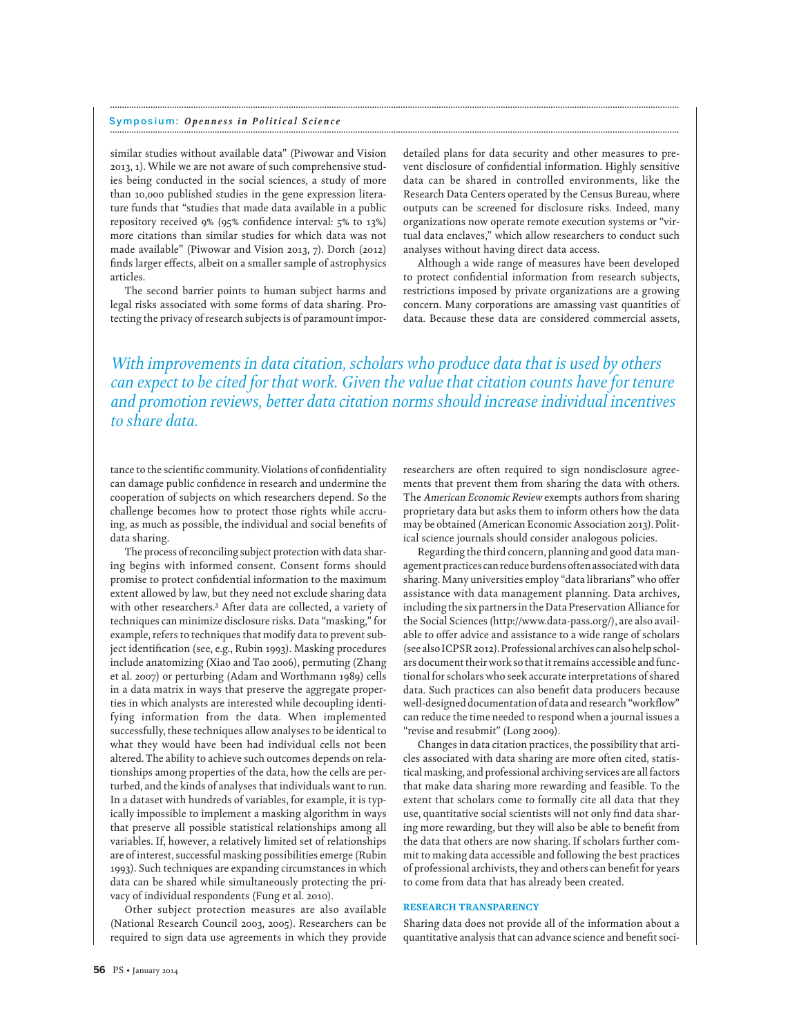#### Symposium: Openness in Political Science

similar studies without available data" (Piwowar and Vision 2013, 1). While we are not aware of such comprehensive studies being conducted in the social sciences, a study of more than 10,000 published studies in the gene expression literature funds that "studies that made data available in a public repository received 9% (95% confidence interval: 5% to 13%) more citations than similar studies for which data was not made available" (Piwowar and Vision 2013, 7). Dorch (2012) finds larger effects, albeit on a smaller sample of astrophysics articles.

The second barrier points to human subject harms and legal risks associated with some forms of data sharing. Protecting the privacy of research subjects is of paramount impordetailed plans for data security and other measures to prevent disclosure of confidential information. Highly sensitive data can be shared in controlled environments, like the Research Data Centers operated by the Census Bureau, where outputs can be screened for disclosure risks. Indeed, many organizations now operate remote execution systems or "virtual data enclaves," which allow researchers to conduct such analyses without having direct data access.

Although a wide range of measures have been developed to protect confidential information from research subjects, restrictions imposed by private organizations are a growing concern. Many corporations are amassing vast quantities of data. Because these data are considered commercial assets,

*With improvements in data citation, scholars who produce data that is used by others can expect to be cited for that work. Given the value that citation counts have for tenure and promotion reviews, better data citation norms should increase individual incentives to share data.*

**...............................................................................................................................................................................................................................................**

tance to the scientific community.Violations of confidentiality can damage public confidence in research and undermine the cooperation of subjects on which researchers depend. So the challenge becomes how to protect those rights while accruing, as much as possible, the individual and social benefits of data sharing.

The process of reconciling subject protection with data sharing begins with informed consent. Consent forms should promise to protect confidential information to the maximum extent allowed by law, but they need not exclude sharing data with other researchers.3 After data are collected, a variety of techniques can minimize disclosure risks. Data "masking," for example, refers to techniques that modify data to prevent subject identification (see, e.g., Rubin 1993). Masking procedures include anatomizing (Xiao and Tao 2006), permuting (Zhang et al. 2007) or perturbing (Adam and Worthmann 1989) cells in a data matrix in ways that preserve the aggregate properties in which analysts are interested while decoupling identifying information from the data. When implemented successfully, these techniques allow analyses to be identical to what they would have been had individual cells not been altered. The ability to achieve such outcomes depends on relationships among properties of the data, how the cells are perturbed, and the kinds of analyses that individuals want to run. In a dataset with hundreds of variables, for example, it is typically impossible to implement a masking algorithm in ways that preserve all possible statistical relationships among all variables. If, however, a relatively limited set of relationships are of interest, successful masking possibilities emerge (Rubin 1993). Such techniques are expanding circumstances in which data can be shared while simultaneously protecting the privacy of individual respondents (Fung et al. 2010).

Other subject protection measures are also available (National Research Council 2003, 2005). Researchers can be required to sign data use agreements in which they provide researchers are often required to sign nondisclosure agreements that prevent them from sharing the data with others. The *American Economic Review* exempts authors from sharing proprietary data but asks them to inform others how the data may be obtained (American Economic Association 2013). Political science journals should consider analogous policies.

Regarding the third concern, planning and good data management practices can reduce burdens often associated with data sharing. Many universities employ "data librarians" who offer assistance with data management planning. Data archives, including the six partners in the Data Preservation Alliance for the Social Sciences (http://www.data-pass.org/), are also available to offer advice and assistance to a wide range of scholars (seealso ICPSR2012).Professionalarchives canalso help scholars document their work so that it remains accessible and functional for scholars who seek accurate interpretations of shared data. Such practices can also benefit data producers because well-designed documentation of data and research "workflow" can reduce the time needed to respond when a journal issues a "revise and resubmit" (Long 2009).

Changes in data citation practices, the possibility that articles associated with data sharing are more often cited, statistical masking, and professional archiving services are all factors that make data sharing more rewarding and feasible. To the extent that scholars come to formally cite all data that they use, quantitative social scientists will not only find data sharing more rewarding, but they will also be able to benefit from the data that others are now sharing. If scholars further commit to making data accessible and following the best practices of professional archivists, they and others can benefit for years to come from data that has already been created.

#### RESEARCH TRANSPARENCY

Sharing data does not provide all of the information about a quantitative analysis that can advance science and benefit soci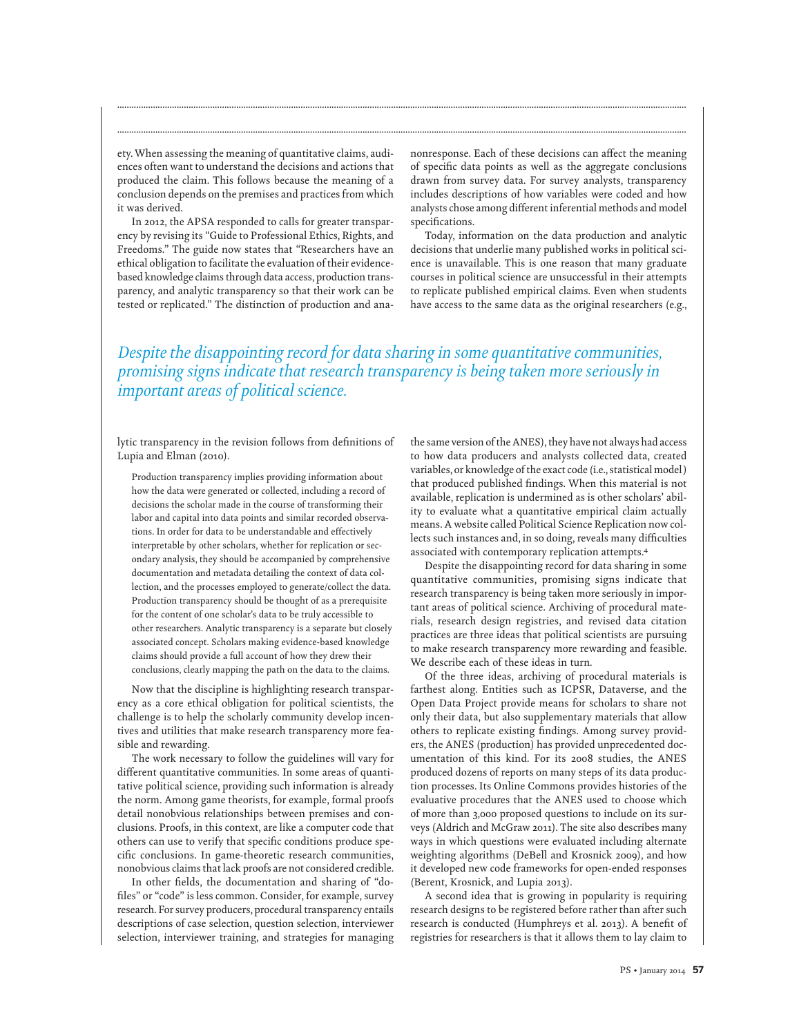ety.When assessing the meaning of quantitative claims, audiences often want to understand the decisions and actions that produced the claim. This follows because the meaning of a conclusion depends on the premises and practices from which it was derived.

In 2012, the APSA responded to calls for greater transparency by revising its "Guide to Professional Ethics, Rights, and Freedoms." The guide now states that "Researchers have an ethical obligation to facilitate the evaluation of their evidencebased knowledge claims through data access, production transparency, and analytic transparency so that their work can be tested or replicated." The distinction of production and ananonresponse. Each of these decisions can affect the meaning of specific data points as well as the aggregate conclusions drawn from survey data. For survey analysts, transparency includes descriptions of how variables were coded and how analysts chose among different inferential methods and model specifications.

Today, information on the data production and analytic decisions that underlie many published works in political science is unavailable. This is one reason that many graduate courses in political science are unsuccessful in their attempts to replicate published empirical claims. Even when students have access to the same data as the original researchers (e.g.,

*Despite the disappointing record for data sharing in some quantitative communities, promising signs indicate that research transparency is being taken more seriously in important areas of political science.*

**...............................................................................................................................................................................................................................................**

**...............................................................................................................................................................................................................................................**

lytic transparency in the revision follows from definitions of Lupia and Elman (2010).

Production transparency implies providing information about how the data were generated or collected, including a record of decisions the scholar made in the course of transforming their labor and capital into data points and similar recorded observations. In order for data to be understandable and effectively interpretable by other scholars, whether for replication or secondary analysis, they should be accompanied by comprehensive documentation and metadata detailing the context of data collection, and the processes employed to generate/collect the data. Production transparency should be thought of as a prerequisite for the content of one scholar's data to be truly accessible to other researchers. Analytic transparency is a separate but closely associated concept. Scholars making evidence-based knowledge claims should provide a full account of how they drew their conclusions, clearly mapping the path on the data to the claims.

Now that the discipline is highlighting research transparency as a core ethical obligation for political scientists, the challenge is to help the scholarly community develop incentives and utilities that make research transparency more feasible and rewarding.

The work necessary to follow the guidelines will vary for different quantitative communities. In some areas of quantitative political science, providing such information is already the norm. Among game theorists, for example, formal proofs detail nonobvious relationships between premises and conclusions. Proofs, in this context, are like a computer code that others can use to verify that specific conditions produce specific conclusions. In game-theoretic research communities, nonobvious claims that lack proofs are not considered credible.

In other fields, the documentation and sharing of "dofiles" or "code" is less common. Consider, for example, survey research. For survey producers, procedural transparency entails descriptions of case selection, question selection, interviewer selection, interviewer training, and strategies for managing

the same version of the ANES), they have not always had access to how data producers and analysts collected data, created variables, or knowledge of the exact code (i.e., statistical model ) that produced published findings. When this material is not available, replication is undermined as is other scholars' ability to evaluate what a quantitative empirical claim actually means. A website called Political Science Replication now collects such instances and, in so doing, reveals many difficulties associated with contemporary replication attempts.4

Despite the disappointing record for data sharing in some quantitative communities, promising signs indicate that research transparency is being taken more seriously in important areas of political science. Archiving of procedural materials, research design registries, and revised data citation practices are three ideas that political scientists are pursuing to make research transparency more rewarding and feasible. We describe each of these ideas in turn.

Of the three ideas, archiving of procedural materials is farthest along. Entities such as ICPSR, Dataverse, and the Open Data Project provide means for scholars to share not only their data, but also supplementary materials that allow others to replicate existing findings. Among survey providers, the ANES (production) has provided unprecedented documentation of this kind. For its 2008 studies, the ANES produced dozens of reports on many steps of its data production processes. Its Online Commons provides histories of the evaluative procedures that the ANES used to choose which of more than 3,000 proposed questions to include on its surveys (Aldrich and McGraw 2011). The site also describes many ways in which questions were evaluated including alternate weighting algorithms (DeBell and Krosnick 2009), and how it developed new code frameworks for open-ended responses (Berent, Krosnick, and Lupia 2013).

A second idea that is growing in popularity is requiring research designs to be registered before rather than after such research is conducted (Humphreys et al. 2013). A benefit of registries for researchers is that it allows them to lay claim to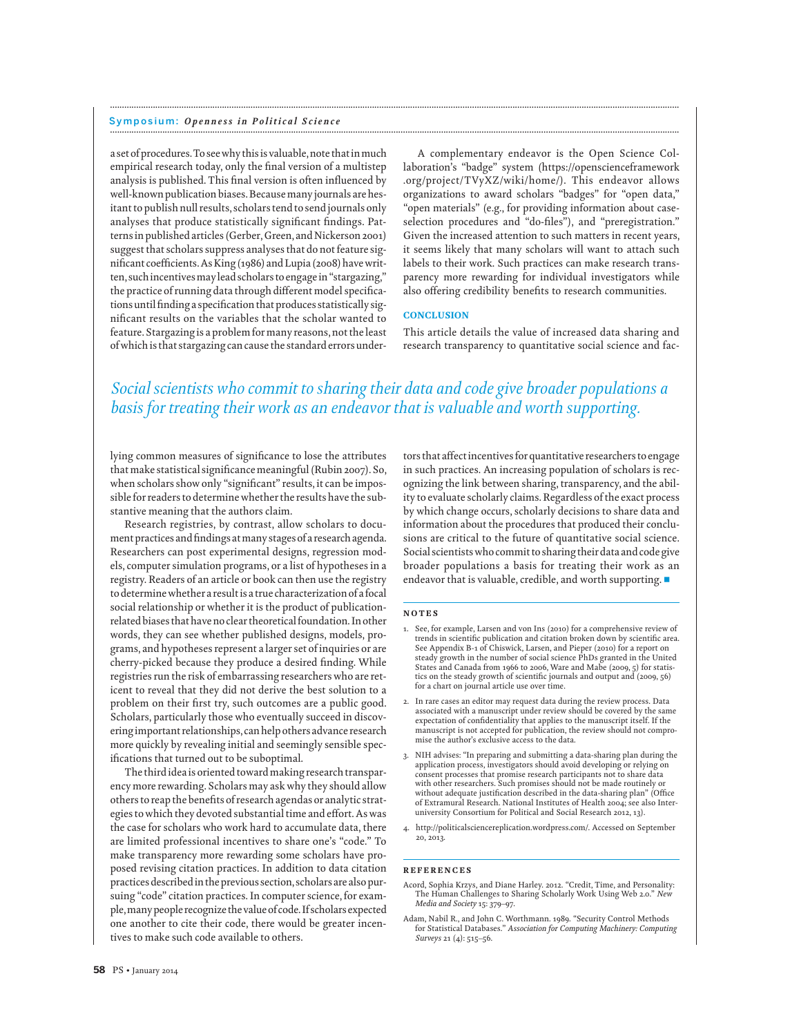#### Symposium: Openness in Political Science

a set of procedures. To see why this is valuable, note that in much empirical research today, only the final version of a multistep analysis is published. This final version is often influenced by well-known publication biases. Because many journals are hesitant to publish null results, scholars tend to send journals only analyses that produce statistically significant findings. Patterns in published articles (Gerber, Green, and Nickerson 2001) suggest that scholars suppress analyses that do not feature significant coefficients. As King (1986) and Lupia (2008) have written, such incentives may lead scholars to engage in "stargazing," the practice of running data through different model specifications until finding a specification that produces statistically significant results on the variables that the scholar wanted to feature. Stargazingis a problem for many reasons, not theleast of whichis that stargazing can cause the standard errors under-

A complementary endeavor is the Open Science Collaboration's "badge" system (https://openscienceframework .org/project/TVyXZ/wiki/home/). This endeavor allows organizations to award scholars "badges" for "open data," "open materials" (e.g., for providing information about caseselection procedures and "do-files"), and "preregistration." Given the increased attention to such matters in recent years, it seems likely that many scholars will want to attach such labels to their work. Such practices can make research transparency more rewarding for individual investigators while also offering credibility benefits to research communities.

#### **CONCLUSION**

This article details the value of increased data sharing and research transparency to quantitative social science and fac-

# *Social scientists who commit to sharing their data and code give broader populations a basis for treating their work as an endeavor that is valuable and worth supporting.*

**...............................................................................................................................................................................................................................................**

lying common measures of significance to lose the attributes that make statistical significance meaningful (Rubin 2007). So, when scholars show only "significant" results, it can be impossible for readers to determine whether the results have the substantive meaning that the authors claim.

Research registries, by contrast, allow scholars to document practices and findings at many stages of a research agenda. Researchers can post experimental designs, regression models, computer simulation programs, or a list of hypotheses in a registry. Readers of an article or book can then use the registry to determinewhether a resultis a true characterization of a focal social relationship or whether it is the product of publicationrelated biases that have no clear theoretical foundation. In other words, they can see whether published designs, models, programs, and hypotheses represent a larger set of inquiries or are cherry-picked because they produce a desired finding. While registries run the risk of embarrassing researchers who are reticent to reveal that they did not derive the best solution to a problem on their first try, such outcomes are a public good. Scholars, particularly those who eventually succeed in discoveringimportant relationships, can help othersadvance research more quickly by revealing initial and seemingly sensible specifications that turned out to be suboptimal.

The third idea is oriented toward making research transparency more rewarding. Scholars may ask why they should allow others to reap the benefits of research agendas or analytic strategies to which they devoted substantial time and effort. As was the case for scholars who work hard to accumulate data, there are limited professional incentives to share one's "code." To make transparency more rewarding some scholars have proposed revising citation practices. In addition to data citation practices described in the previous section, scholars are also pursuing "code" citation practices. In computer science, for example, many people recognize the value of code. If scholars expected one another to cite their code, there would be greater incentives to make such code available to others.

tors that affectincentives for quantitative researchers to engage in such practices. An increasing population of scholars is recognizing the link between sharing, transparency, and the ability to evaluate scholarly claims. Regardless of the exact process by which change occurs, scholarly decisions to share data and information about the procedures that produced their conclusions are critical to the future of quantitative social science. Social scientistswho commit to sharing their data and code give broader populations a basis for treating their work as an endeavor that is valuable, credible, and worth supporting.  $\blacksquare$ 

#### NOTES

- 1. See, for example, Larsen and von Ins (2010) for a comprehensive review of trends in scientific publication and citation broken down by scientific area. See Appendix B-1 of Chiswick, Larsen, and Pieper (2010) for a report on steady growth in the number of social science PhDs granted in the United States and Canada from 1966 to 2006, Ware and Mabe (2009, 5) for statistics on the steady growth of scientific journals and output and (2009, 56) for a chart on journal article use over time.
- 2. In rare cases an editor may request data during the review process. Data associated with a manuscript under review should be covered by the same expectation of confidentiality that applies to the manuscript itself. If the manuscript is not accepted for publication, the review should not compromise the author's exclusive access to the data.
- 3. NIH advises: "In preparing and submitting a data-sharing plan during the application process, investigators should avoid developing or relying on consent processes that promise research participants not to share data with other researchers. Such promises should not be made routinely or without adequate justification described in the data-sharing plan" (Office of Extramural Research. National Institutes of Health 2004; see also Interuniversity Consortium for Political and Social Research 2012, 13).
- 4. http://politicalsciencereplication.wordpress.com/. Accessed on September 20, 2013.

#### REFERENCES

- Acord, Sophia Krzys, and Diane Harley. 2012. "Credit, Time, and Personality: The Human Challenges to Sharing Scholarly Work Using Web 2.0." *New Media and Society* 15: 379–97.
- Adam, Nabil R., and John C. Worthmann. 1989. "Security Control Methods for Statistical Databases." *Association for Computing Machinery: Computing Surveys* 21 (4): 515–56.